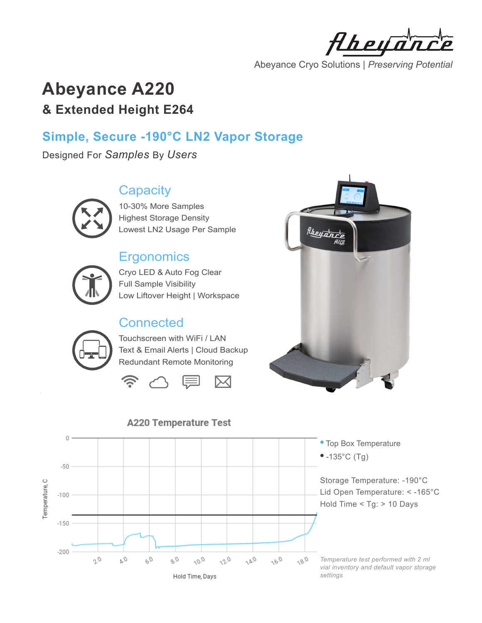Hheya

Abeyance Cryo Solutions | *Preserving Potential*

# **Abeyance A220 & Extended Height E264**

# **Simple, Secure -190°C LN2 Vapor Storage**

Designed For *Samples* By *Users*

# **Capacity**



10-30% More Samples Highest Storage Density Lowest LN2 Usage Per Sample

# **Ergonomics**



Cryo LED & Auto Fog Clear Full Sample Visibility Low Liftover Height | Workspace

# **Connected**

Touchscreen with WiFi / LAN Text & Email Alerts | Cloud Backup Redundant Remote Monitoring







### **A220 Temperature Test**